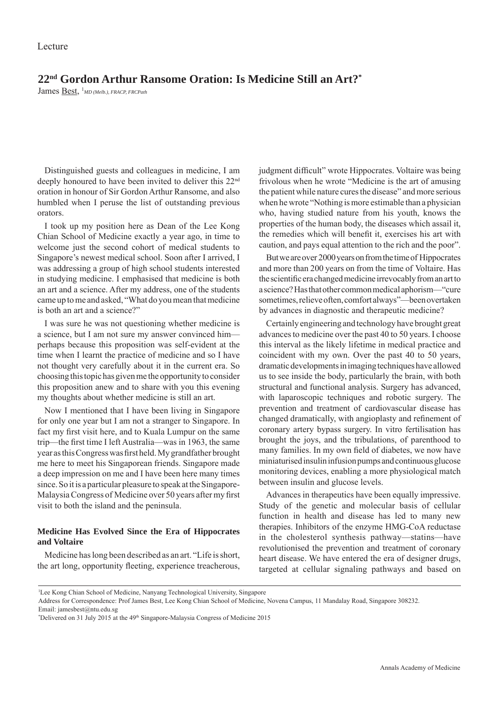# **22nd Gordon Arthur Ransome Oration: Is Medicine Still an Art?\***

James **Best**, <sup>1</sup>*MD* (*Melb.*), FRACP, FRCPath

Distinguished guests and colleagues in medicine, I am deeply honoured to have been invited to deliver this 22nd oration in honour of Sir Gordon Arthur Ransome, and also humbled when I peruse the list of outstanding previous orators.

I took up my position here as Dean of the Lee Kong Chian School of Medicine exactly a year ago, in time to welcome just the second cohort of medical students to Singapore's newest medical school. Soon after I arrived, I was addressing a group of high school students interested in studying medicine. I emphasised that medicine is both an art and a science. After my address, one of the students came up to me and asked, "What do you mean that medicine is both an art and a science?"

I was sure he was not questioning whether medicine is a science, but I am not sure my answer convinced him perhaps because this proposition was self-evident at the time when I learnt the practice of medicine and so I have not thought very carefully about it in the current era. So choosing this topic has given me the opportunity to consider this proposition anew and to share with you this evening my thoughts about whether medicine is still an art.

Now I mentioned that I have been living in Singapore for only one year but I am not a stranger to Singapore. In fact my first visit here, and to Kuala Lumpur on the same trip—the first time I left Australia—was in 1963, the same year as this Congress was first held. My grandfather brought me here to meet his Singaporean friends. Singapore made a deep impression on me and I have been here many times since. So it is a particular pleasure to speak at the Singapore-Malaysia Congress of Medicine over 50 years after my first visit to both the island and the peninsula.

#### **Medicine Has Evolved Since the Era of Hippocrates and Voltaire**

Medicine has long been described as an art. "Life is short, the art long, opportunity fleeting, experience treacherous, judgment difficult" wrote Hippocrates. Voltaire was being frivolous when he wrote "Medicine is the art of amusing the patient while nature cures the disease" and more serious when he wrote "Nothing is more estimable than a physician who, having studied nature from his youth, knows the properties of the human body, the diseases which assail it, the remedies which will benefit it, exercises his art with caution, and pays equal attention to the rich and the poor".

But we are over 2000 years on from the time of Hippocrates and more than 200 years on from the time of Voltaire. Has the scientific era changed medicine irrevocably from an art to a science? Has that other common medical aphorism—"cure sometimes, relieve often, comfort always"—been overtaken by advances in diagnostic and therapeutic medicine?

Certainly engineering and technology have brought great advances to medicine over the past 40 to 50 years. I choose this interval as the likely lifetime in medical practice and coincident with my own. Over the past 40 to 50 years, dramatic developments in imaging techniques have allowed us to see inside the body, particularly the brain, with both structural and functional analysis. Surgery has advanced, with laparoscopic techniques and robotic surgery. The prevention and treatment of cardiovascular disease has changed dramatically, with angioplasty and refinement of coronary artery bypass surgery. In vitro fertilisation has brought the joys, and the tribulations, of parenthood to many families. In my own field of diabetes, we now have miniaturised insulin infusion pumps and continuous glucose monitoring devices, enabling a more physiological match between insulin and glucose levels.

Advances in therapeutics have been equally impressive. Study of the genetic and molecular basis of cellular function in health and disease has led to many new therapies. Inhibitors of the enzyme HMG-CoA reductase in the cholesterol synthesis pathway—statins—have revolutionised the prevention and treatment of coronary heart disease. We have entered the era of designer drugs, targeted at cellular signaling pathways and based on

<sup>1</sup> Lee Kong Chian School of Medicine, Nanyang Technological University, Singapore

Address for Correspondence: Prof James Best, Lee Kong Chian School of Medicine, Novena Campus, 11 Mandalay Road, Singapore 308232. Email: jamesbest@ntu.edu.sg

<sup>&</sup>lt;sup>\*</sup>Delivered on 31 July 2015 at the 49<sup>th</sup> Singapore-Malaysia Congress of Medicine 2015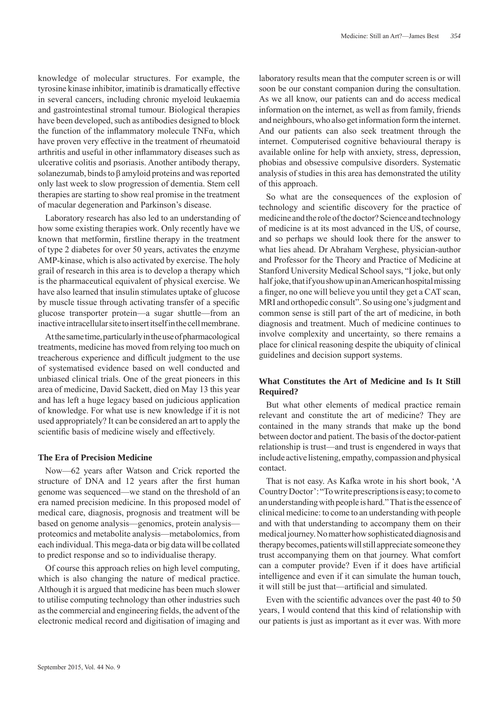knowledge of molecular structures. For example, the tyrosine kinase inhibitor, imatinib is dramatically effective in several cancers, including chronic myeloid leukaemia and gastrointestinal stromal tumour. Biological therapies have been developed, such as antibodies designed to block the function of the inflammatory molecule  $TNF\alpha$ , which have proven very effective in the treatment of rheumatoid arthritis and useful in other inflammatory diseases such as ulcerative colitis and psoriasis. Another antibody therapy, solanezumab, binds to β amyloid proteins and was reported only last week to slow progression of dementia. Stem cell therapies are starting to show real promise in the treatment of macular degeneration and Parkinson's disease.

Laboratory research has also led to an understanding of how some existing therapies work. Only recently have we known that metformin, firstline therapy in the treatment of type 2 diabetes for over 50 years, activates the enzyme AMP-kinase, which is also activated by exercise. The holy grail of research in this area is to develop a therapy which is the pharmaceutical equivalent of physical exercise. We have also learned that insulin stimulates uptake of glucose by muscle tissue through activating transfer of a specific glucose transporter protein—a sugar shuttle—from an inactive intracellular site to insert itself in the cell membrane.

At the same time, particularly in the use of pharmacological treatments, medicine has moved from relying too much on treacherous experience and difficult judgment to the use of systematised evidence based on well conducted and unbiased clinical trials. One of the great pioneers in this area of medicine, David Sackett, died on May 13 this year and has left a huge legacy based on judicious application of knowledge. For what use is new knowledge if it is not used appropriately? It can be considered an art to apply the scientific basis of medicine wisely and effectively.

#### **The Era of Precision Medicine**

Now—62 years after Watson and Crick reported the structure of DNA and 12 years after the first human genome was sequenced—we stand on the threshold of an era named precision medicine. In this proposed model of medical care, diagnosis, prognosis and treatment will be based on genome analysis—genomics, protein analysis proteomics and metabolite analysis—metabolomics, from each individual. This mega-data or big data will be collated to predict response and so to individualise therapy.

Of course this approach relies on high level computing, which is also changing the nature of medical practice. Although it is argued that medicine has been much slower to utilise computing technology than other industries such as the commercial and engineering fields, the advent of the electronic medical record and digitisation of imaging and

laboratory results mean that the computer screen is or will soon be our constant companion during the consultation. As we all know, our patients can and do access medical information on the internet, as well as from family, friends and neighbours, who also get information form the internet. And our patients can also seek treatment through the internet. Computerised cognitive behavioural therapy is available online for help with anxiety, stress, depression, phobias and obsessive compulsive disorders. Systematic analysis of studies in this area has demonstrated the utility of this approach.

So what are the consequences of the explosion of technology and scientific discovery for the practice of medicine and the role of the doctor? Science and technology of medicine is at its most advanced in the US, of course, and so perhaps we should look there for the answer to what lies ahead. Dr Abraham Verghese, physician-author and Professor for the Theory and Practice of Medicine at Stanford University Medical School says, "I joke, but only half joke, that if you show up in an American hospital missing a finger, no one will believe you until they get a CAT scan, MRI and orthopedic consult". So using one's judgment and common sense is still part of the art of medicine, in both diagnosis and treatment. Much of medicine continues to involve complexity and uncertainty, so there remains a place for clinical reasoning despite the ubiquity of clinical guidelines and decision support systems.

### **What Constitutes the Art of Medicine and Is It Still Required?**

But what other elements of medical practice remain relevant and constitute the art of medicine? They are contained in the many strands that make up the bond between doctor and patient. The basis of the doctor-patient relationship is trust—and trust is engendered in ways that include active listening, empathy, compassion and physical contact.

That is not easy. As Kafka wrote in his short book, 'A Country Doctor': "To write prescriptions is easy; to come to an understanding with people is hard." That is the essence of clinical medicine: to come to an understanding with people and with that understanding to accompany them on their medical journey. No matter how sophisticated diagnosis and therapy becomes, patients will still appreciate someone they trust accompanying them on that journey. What comfort can a computer provide? Even if it does have artificial intelligence and even if it can simulate the human touch, it will still be just that—artificial and simulated.

Even with the scientific advances over the past 40 to 50 years, I would contend that this kind of relationship with our patients is just as important as it ever was. With more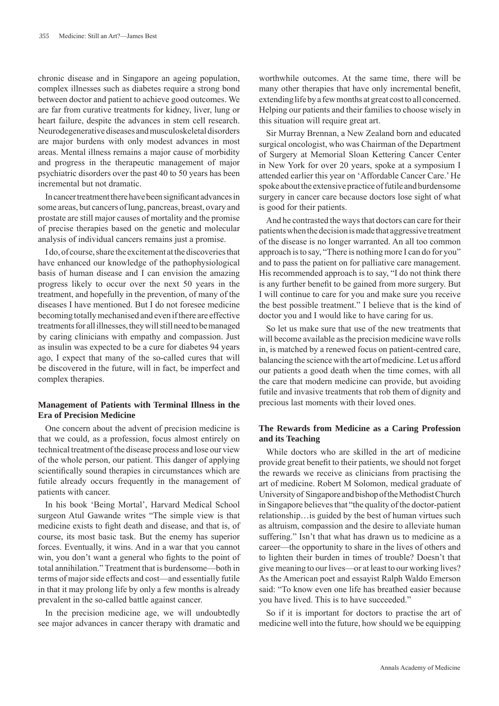chronic disease and in Singapore an ageing population, complex illnesses such as diabetes require a strong bond between doctor and patient to achieve good outcomes. We are far from curative treatments for kidney, liver, lung or heart failure, despite the advances in stem cell research. Neurodegenerative diseases and musculoskeletal disorders are major burdens with only modest advances in most areas. Mental illness remains a major cause of morbidity and progress in the therapeutic management of major psychiatric disorders over the past 40 to 50 years has been incremental but not dramatic.

In cancer treatment there have been significant advances in some areas, but cancers of lung, pancreas, breast, ovary and prostate are still major causes of mortality and the promise of precise therapies based on the genetic and molecular analysis of individual cancers remains just a promise.

I do, of course, share the excitement at the discoveries that have enhanced our knowledge of the pathophysiological basis of human disease and I can envision the amazing progress likely to occur over the next 50 years in the treatment, and hopefully in the prevention, of many of the diseases I have mentioned. But I do not foresee medicine becoming totally mechanised and even if there are effective treatments for all illnesses, they will still need to be managed by caring clinicians with empathy and compassion. Just as insulin was expected to be a cure for diabetes 94 years ago, I expect that many of the so-called cures that will be discovered in the future, will in fact, be imperfect and complex therapies.

#### **Management of Patients with Terminal Illness in the Era of Precision Medicine**

One concern about the advent of precision medicine is that we could, as a profession, focus almost entirely on technical treatment of the disease process and lose our view of the whole person, our patient. This danger of applying scientifically sound therapies in circumstances which are futile already occurs frequently in the management of patients with cancer.

In his book 'Being Mortal', Harvard Medical School surgeon Atul Gawande writes "The simple view is that medicine exists to fight death and disease, and that is, of course, its most basic task. But the enemy has superior forces. Eventually, it wins. And in a war that you cannot win, you don't want a general who fights to the point of total annihilation." Treatment that is burdensome—both in terms of major side effects and cost—and essentially futile in that it may prolong life by only a few months is already prevalent in the so-called battle against cancer.

In the precision medicine age, we will undoubtedly see major advances in cancer therapy with dramatic and

worthwhile outcomes. At the same time, there will be many other therapies that have only incremental benefit, extending life by a few months at great cost to all concerned. Helping our patients and their families to choose wisely in this situation will require great art.

Sir Murray Brennan, a New Zealand born and educated surgical oncologist, who was Chairman of the Department of Surgery at Memorial Sloan Kettering Cancer Center in New York for over 20 years, spoke at a symposium I attended earlier this year on 'Affordable Cancer Care.' He spoke about the extensive practice of futile and burdensome surgery in cancer care because doctors lose sight of what is good for their patients.

And he contrasted the ways that doctors can care for their patients when the decision is made that aggressive treatment of the disease is no longer warranted. An all too common approach is to say, "There is nothing more I can do for you" and to pass the patient on for palliative care management. His recommended approach is to say, "I do not think there is any further benefit to be gained from more surgery. But I will continue to care for you and make sure you receive the best possible treatment." I believe that is the kind of doctor you and I would like to have caring for us.

So let us make sure that use of the new treatments that will become available as the precision medicine wave rolls in, is matched by a renewed focus on patient-centred care, balancing the science with the art of medicine. Let us afford our patients a good death when the time comes, with all the care that modern medicine can provide, but avoiding futile and invasive treatments that rob them of dignity and precious last moments with their loved ones.

## **The Rewards from Medicine as a Caring Profession and its Teaching**

While doctors who are skilled in the art of medicine provide great benefit to their patients, we should not forget the rewards we receive as clinicians from practising the art of medicine. Robert M Solomon, medical graduate of University of Singapore and bishop of the Methodist Church in Singapore believes that "the quality of the doctor-patient relationship…is guided by the best of human virtues such as altruism, compassion and the desire to alleviate human suffering." Isn't that what has drawn us to medicine as a career—the opportunity to share in the lives of others and to lighten their burden in times of trouble? Doesn't that give meaning to our lives—or at least to our working lives? As the American poet and essayist Ralph Waldo Emerson said: "To know even one life has breathed easier because you have lived. This is to have succeeded."

So if it is important for doctors to practise the art of medicine well into the future, how should we be equipping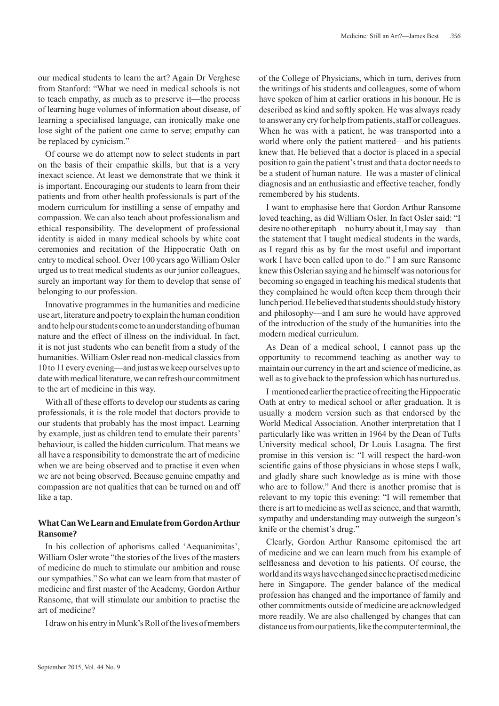our medical students to learn the art? Again Dr Verghese from Stanford: "What we need in medical schools is not to teach empathy, as much as to preserve it—the process of learning huge volumes of information about disease, of learning a specialised language, can ironically make one lose sight of the patient one came to serve; empathy can be replaced by cynicism."

Of course we do attempt now to select students in part on the basis of their empathic skills, but that is a very inexact science. At least we demonstrate that we think it is important. Encouraging our students to learn from their patients and from other health professionals is part of the modern curriculum for instilling a sense of empathy and compassion. We can also teach about professionalism and ethical responsibility. The development of professional identity is aided in many medical schools by white coat ceremonies and recitation of the Hippocratic Oath on entry to medical school. Over 100 years ago William Osler urged us to treat medical students as our junior colleagues, surely an important way for them to develop that sense of belonging to our profession.

Innovative programmes in the humanities and medicine use art, literature and poetry to explain the human condition and to help our students come to an understanding of human nature and the effect of illness on the individual. In fact, it is not just students who can benefit from a study of the humanities. William Osler read non-medical classics from 10 to 11 every evening—and just as we keep ourselves up to date with medical literature, we can refresh our commitment to the art of medicine in this way.

With all of these efforts to develop our students as caring professionals, it is the role model that doctors provide to our students that probably has the most impact. Learning by example, just as children tend to emulate their parents' behaviour, is called the hidden curriculum. That means we all have a responsibility to demonstrate the art of medicine when we are being observed and to practise it even when we are not being observed. Because genuine empathy and compassion are not qualities that can be turned on and off like a tap.

#### **What Can We Learn and Emulate from Gordon Arthur Ransome?**

In his collection of aphorisms called 'Aequanimitas', William Osler wrote "the stories of the lives of the masters of medicine do much to stimulate our ambition and rouse our sympathies." So what can we learn from that master of medicine and first master of the Academy, Gordon Arthur Ransome, that will stimulate our ambition to practise the art of medicine?

I draw on his entry in Munk's Roll of the lives of members

of the College of Physicians, which in turn, derives from the writings of his students and colleagues, some of whom have spoken of him at earlier orations in his honour. He is described as kind and softly spoken. He was always ready to answer any cry for help from patients, staff or colleagues. When he was with a patient, he was transported into a world where only the patient mattered—and his patients knew that. He believed that a doctor is placed in a special position to gain the patient's trust and that a doctor needs to be a student of human nature. He was a master of clinical diagnosis and an enthusiastic and effective teacher, fondly remembered by his students.

I want to emphasise here that Gordon Arthur Ransome loved teaching, as did William Osler. In fact Osler said: "I desire no other epitaph—no hurry about it, I may say—than the statement that I taught medical students in the wards, as I regard this as by far the most useful and important work I have been called upon to do." I am sure Ransome knew this Oslerian saying and he himself was notorious for becoming so engaged in teaching his medical students that they complained he would often keep them through their lunch period. He believed that students should study history and philosophy—and I am sure he would have approved of the introduction of the study of the humanities into the modern medical curriculum.

As Dean of a medical school, I cannot pass up the opportunity to recommend teaching as another way to maintain our currency in the art and science of medicine, as well as to give back to the profession which has nurtured us.

I mentioned earlier the practice of reciting the Hippocratic Oath at entry to medical school or after graduation. It is usually a modern version such as that endorsed by the World Medical Association. Another interpretation that I particularly like was written in 1964 by the Dean of Tufts University medical school, Dr Louis Lasagna. The first promise in this version is: "I will respect the hard-won scientific gains of those physicians in whose steps I walk, and gladly share such knowledge as is mine with those who are to follow." And there is another promise that is relevant to my topic this evening: "I will remember that there is art to medicine as well as science, and that warmth, sympathy and understanding may outweigh the surgeon's knife or the chemist's drug."

Clearly, Gordon Arthur Ransome epitomised the art of medicine and we can learn much from his example of selflessness and devotion to his patients. Of course, the world and its ways have changed since he practised medicine here in Singapore. The gender balance of the medical profession has changed and the importance of family and other commitments outside of medicine are acknowledged more readily. We are also challenged by changes that can distance us from our patients, like the computer terminal, the